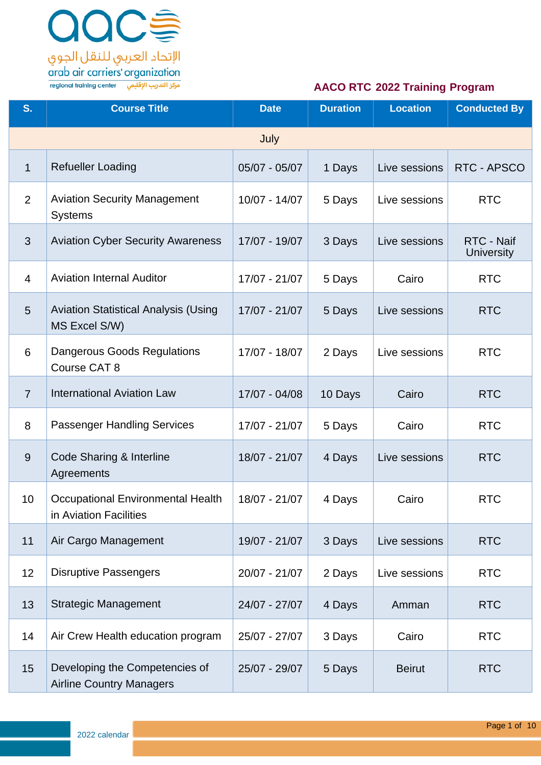

| S.             | <b>Course Title</b>                                               | <b>Date</b>     | <b>Duration</b> | <b>Location</b> | <b>Conducted By</b>             |
|----------------|-------------------------------------------------------------------|-----------------|-----------------|-----------------|---------------------------------|
|                |                                                                   | July            |                 |                 |                                 |
| $\mathbf{1}$   | <b>Refueller Loading</b>                                          | $05/07 - 05/07$ | 1 Days          | Live sessions   | RTC - APSCO                     |
| 2              | <b>Aviation Security Management</b><br><b>Systems</b>             | 10/07 - 14/07   | 5 Days          | Live sessions   | <b>RTC</b>                      |
| 3              | <b>Aviation Cyber Security Awareness</b>                          | 17/07 - 19/07   | 3 Days          | Live sessions   | RTC - Naif<br><b>University</b> |
| $\overline{4}$ | <b>Aviation Internal Auditor</b>                                  | 17/07 - 21/07   | 5 Days          | Cairo           | <b>RTC</b>                      |
| $5\phantom{.}$ | <b>Aviation Statistical Analysis (Using</b><br>MS Excel S/W)      | 17/07 - 21/07   | 5 Days          | Live sessions   | <b>RTC</b>                      |
| 6              | Dangerous Goods Regulations<br>Course CAT 8                       | 17/07 - 18/07   | 2 Days          | Live sessions   | <b>RTC</b>                      |
| $\overline{7}$ | <b>International Aviation Law</b>                                 | 17/07 - 04/08   | 10 Days         | Cairo           | <b>RTC</b>                      |
| 8              | <b>Passenger Handling Services</b>                                | 17/07 - 21/07   | 5 Days          | Cairo           | <b>RTC</b>                      |
| 9              | Code Sharing & Interline<br>Agreements                            | 18/07 - 21/07   | 4 Days          | Live sessions   | <b>RTC</b>                      |
| 10             | Occupational Environmental Health<br>in Aviation Facilities       | 18/07 - 21/07   | 4 Days          | Cairo           | <b>RTC</b>                      |
| 11             | Air Cargo Management                                              | 19/07 - 21/07   | 3 Days          | Live sessions   | <b>RTC</b>                      |
| 12             | <b>Disruptive Passengers</b>                                      | $20/07 - 21/07$ | 2 Days          | Live sessions   | <b>RTC</b>                      |
| 13             | <b>Strategic Management</b>                                       | 24/07 - 27/07   | 4 Days          | Amman           | <b>RTC</b>                      |
| 14             | Air Crew Health education program                                 | 25/07 - 27/07   | 3 Days          | Cairo           | <b>RTC</b>                      |
| 15             | Developing the Competencies of<br><b>Airline Country Managers</b> | 25/07 - 29/07   | 5 Days          | <b>Beirut</b>   | <b>RTC</b>                      |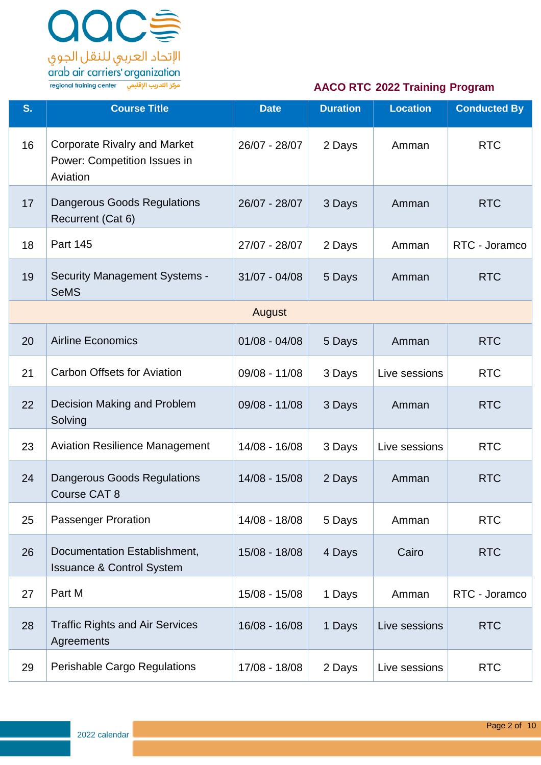

| S. | <b>Course Title</b>                                                             | <b>Date</b>     | <b>Duration</b> | <b>Location</b> | <b>Conducted By</b> |
|----|---------------------------------------------------------------------------------|-----------------|-----------------|-----------------|---------------------|
| 16 | <b>Corporate Rivalry and Market</b><br>Power: Competition Issues in<br>Aviation | 26/07 - 28/07   | 2 Days          | Amman           | <b>RTC</b>          |
| 17 | <b>Dangerous Goods Regulations</b><br>Recurrent (Cat 6)                         | 26/07 - 28/07   | 3 Days          | Amman           | <b>RTC</b>          |
| 18 | <b>Part 145</b>                                                                 | 27/07 - 28/07   | 2 Days          | Amman           | RTC - Joramco       |
| 19 | <b>Security Management Systems -</b><br><b>SeMS</b>                             | $31/07 - 04/08$ | 5 Days          | Amman           | <b>RTC</b>          |
|    |                                                                                 | August          |                 |                 |                     |
| 20 | <b>Airline Economics</b>                                                        | $01/08 - 04/08$ | 5 Days          | Amman           | <b>RTC</b>          |
| 21 | <b>Carbon Offsets for Aviation</b>                                              | 09/08 - 11/08   | 3 Days          | Live sessions   | <b>RTC</b>          |
| 22 | Decision Making and Problem<br>Solving                                          | 09/08 - 11/08   | 3 Days          | Amman           | <b>RTC</b>          |
| 23 | <b>Aviation Resilience Management</b>                                           | 14/08 - 16/08   | 3 Days          | Live sessions   | <b>RTC</b>          |
| 24 | <b>Dangerous Goods Regulations</b><br>Course CAT 8                              | 14/08 - 15/08   | 2 Days          | Amman           | <b>RTC</b>          |
| 25 | <b>Passenger Proration</b>                                                      | 14/08 - 18/08   | 5 Days          | Amman           | <b>RTC</b>          |
| 26 | Documentation Establishment,<br><b>Issuance &amp; Control System</b>            | 15/08 - 18/08   | 4 Days          | Cairo           | <b>RTC</b>          |
| 27 | Part M                                                                          | 15/08 - 15/08   | 1 Days          | Amman           | RTC - Joramco       |
| 28 | <b>Traffic Rights and Air Services</b><br>Agreements                            | 16/08 - 16/08   | 1 Days          | Live sessions   | <b>RTC</b>          |
| 29 | Perishable Cargo Regulations                                                    | 17/08 - 18/08   | 2 Days          | Live sessions   | <b>RTC</b>          |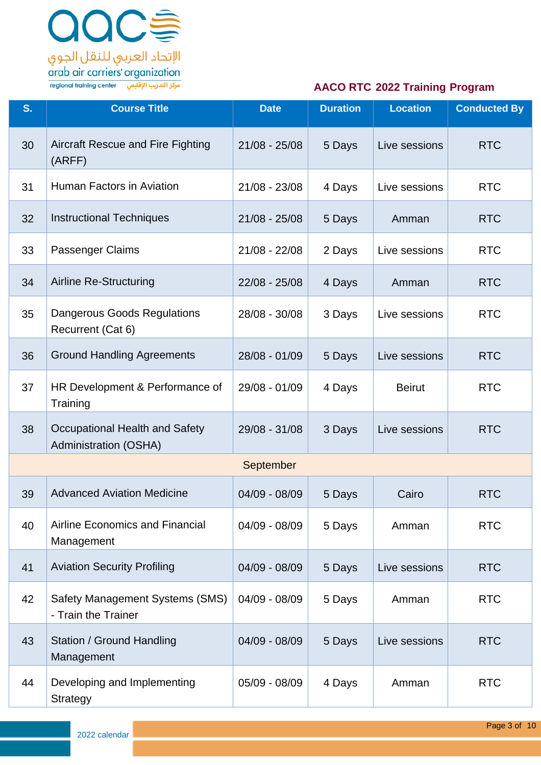

| S. | <b>Course Title</b>                                            | <b>Date</b>     | <b>Duration</b> | <b>Location</b> | <b>Conducted By</b> |
|----|----------------------------------------------------------------|-----------------|-----------------|-----------------|---------------------|
| 30 | <b>Aircraft Rescue and Fire Fighting</b><br>(ARFF)             | $21/08 - 25/08$ | 5 Days          | Live sessions   | <b>RTC</b>          |
| 31 | Human Factors in Aviation                                      | 21/08 - 23/08   | 4 Days          | Live sessions   | <b>RTC</b>          |
| 32 | <b>Instructional Techniques</b>                                | $21/08 - 25/08$ | 5 Days          | Amman           | <b>RTC</b>          |
| 33 | Passenger Claims                                               | $21/08 - 22/08$ | 2 Days          | Live sessions   | <b>RTC</b>          |
| 34 | <b>Airline Re-Structuring</b>                                  | 22/08 - 25/08   | 4 Days          | Amman           | <b>RTC</b>          |
| 35 | Dangerous Goods Regulations<br>Recurrent (Cat 6)               | 28/08 - 30/08   | 3 Days          | Live sessions   | <b>RTC</b>          |
| 36 | <b>Ground Handling Agreements</b>                              | 28/08 - 01/09   | 5 Days          | Live sessions   | <b>RTC</b>          |
| 37 | HR Development & Performance of<br>Training                    | 29/08 - 01/09   | 4 Days          | <b>Beirut</b>   | <b>RTC</b>          |
| 38 | Occupational Health and Safety<br><b>Administration (OSHA)</b> | 29/08 - 31/08   | 3 Days          | Live sessions   | <b>RTC</b>          |
|    |                                                                | September       |                 |                 |                     |
| 39 | <b>Advanced Aviation Medicine</b>                              | 04/09 - 08/09   | 5 Days          | Cairo           | <b>RTC</b>          |
| 40 | Airline Economics and Financial<br>Management                  | $04/09 - 08/09$ | 5 Days          | Amman           | <b>RTC</b>          |
| 41 | <b>Aviation Security Profiling</b>                             | 04/09 - 08/09   | 5 Days          | Live sessions   | <b>RTC</b>          |
| 42 | Safety Management Systems (SMS)<br>- Train the Trainer         | 04/09 - 08/09   | 5 Days          | Amman           | <b>RTC</b>          |
| 43 | <b>Station / Ground Handling</b><br>Management                 | $04/09 - 08/09$ | 5 Days          | Live sessions   | <b>RTC</b>          |
| 44 | Developing and Implementing<br><b>Strategy</b>                 | 05/09 - 08/09   | 4 Days          | Amman           | <b>RTC</b>          |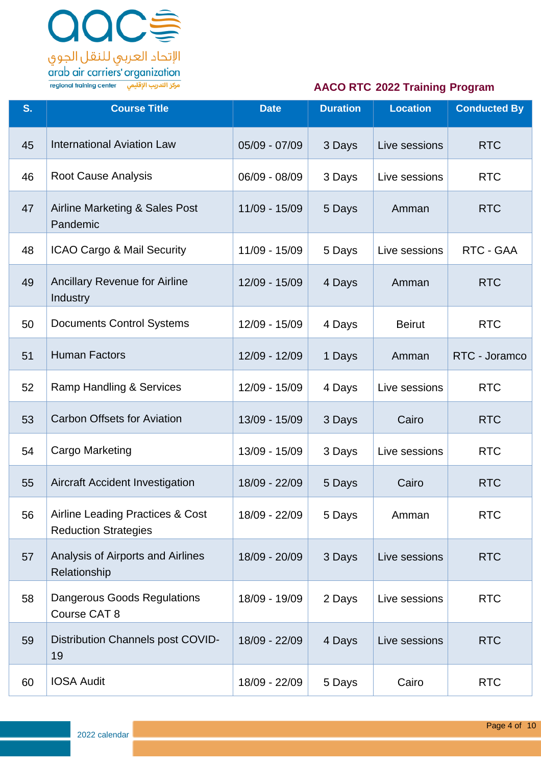

| S. | <b>Course Title</b>                                                        | <b>Date</b>   | <b>Duration</b> | <b>Location</b> | <b>Conducted By</b> |
|----|----------------------------------------------------------------------------|---------------|-----------------|-----------------|---------------------|
| 45 | <b>International Aviation Law</b>                                          | 05/09 - 07/09 | 3 Days          | Live sessions   | <b>RTC</b>          |
| 46 | <b>Root Cause Analysis</b>                                                 | 06/09 - 08/09 | 3 Days          | Live sessions   | <b>RTC</b>          |
| 47 | Airline Marketing & Sales Post<br>Pandemic                                 | 11/09 - 15/09 | 5 Days          | Amman           | <b>RTC</b>          |
| 48 | ICAO Cargo & Mail Security                                                 | 11/09 - 15/09 | 5 Days          | Live sessions   | RTC - GAA           |
| 49 | <b>Ancillary Revenue for Airline</b><br>Industry                           | 12/09 - 15/09 | 4 Days          | Amman           | <b>RTC</b>          |
| 50 | <b>Documents Control Systems</b>                                           | 12/09 - 15/09 | 4 Days          | <b>Beirut</b>   | <b>RTC</b>          |
| 51 | <b>Human Factors</b>                                                       | 12/09 - 12/09 | 1 Days          | Amman           | RTC - Joramco       |
| 52 | Ramp Handling & Services                                                   | 12/09 - 15/09 | 4 Days          | Live sessions   | <b>RTC</b>          |
| 53 | <b>Carbon Offsets for Aviation</b>                                         | 13/09 - 15/09 | 3 Days          | Cairo           | <b>RTC</b>          |
| 54 | <b>Cargo Marketing</b>                                                     | 13/09 - 15/09 | 3 Days          | Live sessions   | <b>RTC</b>          |
| 55 | <b>Aircraft Accident Investigation</b>                                     | 18/09 - 22/09 | 5 Days          | Cairo           | <b>RTC</b>          |
| 56 | <b>Airline Leading Practices &amp; Cost</b><br><b>Reduction Strategies</b> | 18/09 - 22/09 | 5 Days          | Amman           | <b>RTC</b>          |
| 57 | Analysis of Airports and Airlines<br>Relationship                          | 18/09 - 20/09 | 3 Days          | Live sessions   | <b>RTC</b>          |
| 58 | <b>Dangerous Goods Regulations</b><br>Course CAT 8                         | 18/09 - 19/09 | 2 Days          | Live sessions   | <b>RTC</b>          |
| 59 | Distribution Channels post COVID-<br>19                                    | 18/09 - 22/09 | 4 Days          | Live sessions   | <b>RTC</b>          |
| 60 | <b>IOSA Audit</b>                                                          | 18/09 - 22/09 | 5 Days          | Cairo           | <b>RTC</b>          |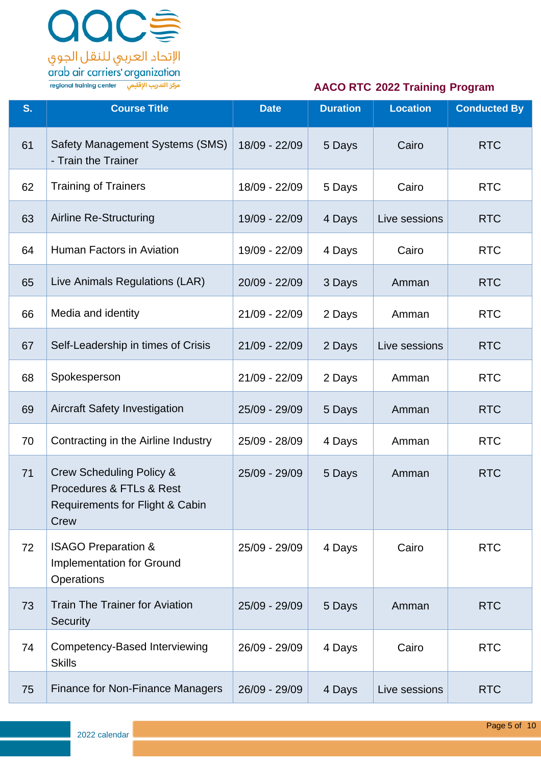

| S. | <b>Course Title</b>                                                                                        | <b>Date</b>   | <b>Duration</b> | <b>Location</b> | <b>Conducted By</b> |
|----|------------------------------------------------------------------------------------------------------------|---------------|-----------------|-----------------|---------------------|
| 61 | Safety Management Systems (SMS)<br>- Train the Trainer                                                     | 18/09 - 22/09 | 5 Days          | Cairo           | <b>RTC</b>          |
| 62 | <b>Training of Trainers</b>                                                                                | 18/09 - 22/09 | 5 Days          | Cairo           | <b>RTC</b>          |
| 63 | <b>Airline Re-Structuring</b>                                                                              | 19/09 - 22/09 | 4 Days          | Live sessions   | <b>RTC</b>          |
| 64 | Human Factors in Aviation                                                                                  | 19/09 - 22/09 | 4 Days          | Cairo           | <b>RTC</b>          |
| 65 | Live Animals Regulations (LAR)                                                                             | 20/09 - 22/09 | 3 Days          | Amman           | <b>RTC</b>          |
| 66 | Media and identity                                                                                         | 21/09 - 22/09 | 2 Days          | Amman           | <b>RTC</b>          |
| 67 | Self-Leadership in times of Crisis                                                                         | 21/09 - 22/09 | 2 Days          | Live sessions   | <b>RTC</b>          |
| 68 | Spokesperson                                                                                               | 21/09 - 22/09 | 2 Days          | Amman           | <b>RTC</b>          |
| 69 | <b>Aircraft Safety Investigation</b>                                                                       | 25/09 - 29/09 | 5 Days          | Amman           | <b>RTC</b>          |
| 70 | Contracting in the Airline Industry                                                                        | 25/09 - 28/09 | 4 Days          | Amman           | <b>RTC</b>          |
| 71 | <b>Crew Scheduling Policy &amp;</b><br>Procedures & FTLs & Rest<br>Requirements for Flight & Cabin<br>Crew | 25/09 - 29/09 | 5 Days          | Amman           | <b>RTC</b>          |
| 72 | <b>ISAGO Preparation &amp;</b><br>Implementation for Ground<br>Operations                                  | 25/09 - 29/09 | 4 Days          | Cairo           | <b>RTC</b>          |
| 73 | <b>Train The Trainer for Aviation</b><br><b>Security</b>                                                   | 25/09 - 29/09 | 5 Days          | Amman           | <b>RTC</b>          |
| 74 | Competency-Based Interviewing<br><b>Skills</b>                                                             | 26/09 - 29/09 | 4 Days          | Cairo           | <b>RTC</b>          |
| 75 | <b>Finance for Non-Finance Managers</b>                                                                    | 26/09 - 29/09 | 4 Days          | Live sessions   | <b>RTC</b>          |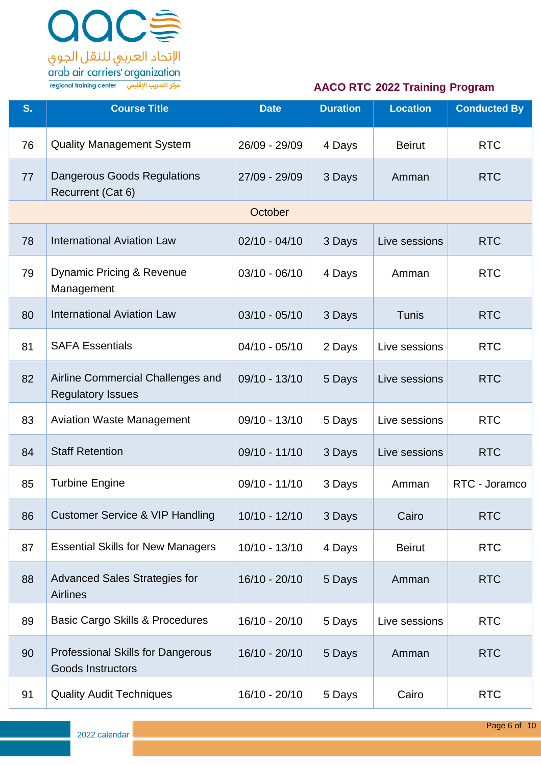

| S. | <b>Course Title</b>                                                  | <b>Date</b>     | <b>Duration</b> | <b>Location</b> | <b>Conducted By</b> |
|----|----------------------------------------------------------------------|-----------------|-----------------|-----------------|---------------------|
| 76 | <b>Quality Management System</b>                                     | 26/09 - 29/09   | 4 Days          | <b>Beirut</b>   | <b>RTC</b>          |
| 77 | Dangerous Goods Regulations<br>Recurrent (Cat 6)                     | 27/09 - 29/09   | 3 Days          | Amman           | <b>RTC</b>          |
|    |                                                                      | October         |                 |                 |                     |
| 78 | <b>International Aviation Law</b>                                    | $02/10 - 04/10$ | 3 Days          | Live sessions   | <b>RTC</b>          |
| 79 | Dynamic Pricing & Revenue<br>Management                              | $03/10 - 06/10$ | 4 Days          | Amman           | <b>RTC</b>          |
| 80 | <b>International Aviation Law</b>                                    | $03/10 - 05/10$ | 3 Days          | Tunis           | <b>RTC</b>          |
| 81 | <b>SAFA Essentials</b>                                               | $04/10 - 05/10$ | 2 Days          | Live sessions   | <b>RTC</b>          |
| 82 | Airline Commercial Challenges and<br><b>Regulatory Issues</b>        | $09/10 - 13/10$ | 5 Days          | Live sessions   | <b>RTC</b>          |
| 83 | <b>Aviation Waste Management</b>                                     | 09/10 - 13/10   | 5 Days          | Live sessions   | <b>RTC</b>          |
| 84 | <b>Staff Retention</b>                                               | $09/10 - 11/10$ | 3 Days          | Live sessions   | <b>RTC</b>          |
| 85 | <b>Turbine Engine</b>                                                | $09/10 - 11/10$ | 3 Days          | Amman           | RTC - Joramco       |
| 86 | <b>Customer Service &amp; VIP Handling</b>                           | $10/10 - 12/10$ | 3 Days          | Cairo           | <b>RTC</b>          |
| 87 | <b>Essential Skills for New Managers</b>                             | $10/10 - 13/10$ | 4 Days          | <b>Beirut</b>   | <b>RTC</b>          |
| 88 | <b>Advanced Sales Strategies for</b><br><b>Airlines</b>              | 16/10 - 20/10   | 5 Days          | Amman           | <b>RTC</b>          |
| 89 | <b>Basic Cargo Skills &amp; Procedures</b>                           | $16/10 - 20/10$ | 5 Days          | Live sessions   | <b>RTC</b>          |
| 90 | <b>Professional Skills for Dangerous</b><br><b>Goods Instructors</b> | 16/10 - 20/10   | 5 Days          | Amman           | <b>RTC</b>          |
| 91 | <b>Quality Audit Techniques</b>                                      | 16/10 - 20/10   | 5 Days          | Cairo           | <b>RTC</b>          |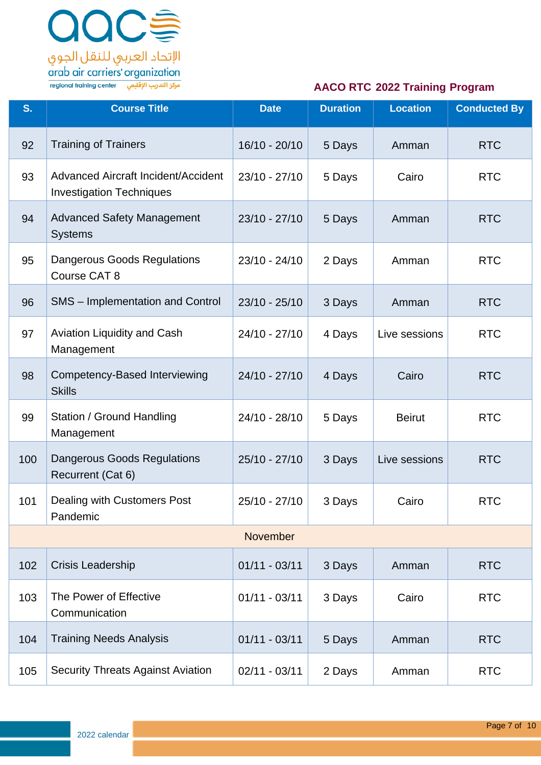

| S.  | <b>Course Title</b>                                                           | <b>Date</b>     | <b>Duration</b> | <b>Location</b> | <b>Conducted By</b> |
|-----|-------------------------------------------------------------------------------|-----------------|-----------------|-----------------|---------------------|
| 92  | <b>Training of Trainers</b>                                                   | 16/10 - 20/10   | 5 Days          | Amman           | <b>RTC</b>          |
| 93  | <b>Advanced Aircraft Incident/Accident</b><br><b>Investigation Techniques</b> | $23/10 - 27/10$ | 5 Days          | Cairo           | <b>RTC</b>          |
| 94  | <b>Advanced Safety Management</b><br><b>Systems</b>                           | $23/10 - 27/10$ | 5 Days          | Amman           | <b>RTC</b>          |
| 95  | <b>Dangerous Goods Regulations</b><br>Course CAT 8                            | $23/10 - 24/10$ | 2 Days          | Amman           | <b>RTC</b>          |
| 96  | <b>SMS</b> – Implementation and Control                                       | $23/10 - 25/10$ | 3 Days          | Amman           | <b>RTC</b>          |
| 97  | Aviation Liquidity and Cash<br>Management                                     | $24/10 - 27/10$ | 4 Days          | Live sessions   | <b>RTC</b>          |
| 98  | Competency-Based Interviewing<br><b>Skills</b>                                | $24/10 - 27/10$ | 4 Days          | Cairo           | <b>RTC</b>          |
| 99  | Station / Ground Handling<br>Management                                       | 24/10 - 28/10   | 5 Days          | <b>Beirut</b>   | <b>RTC</b>          |
| 100 | <b>Dangerous Goods Regulations</b><br>Recurrent (Cat 6)                       | $25/10 - 27/10$ | 3 Days          | Live sessions   | <b>RTC</b>          |
| 101 | Dealing with Customers Post<br>Pandemic                                       | 25/10 - 27/10   | 3 Days          | Cairo           | <b>RTC</b>          |
|     |                                                                               | November        |                 |                 |                     |
| 102 | Crisis Leadership                                                             | $01/11 - 03/11$ | 3 Days          | Amman           | <b>RTC</b>          |
| 103 | The Power of Effective<br>Communication                                       | $01/11 - 03/11$ | 3 Days          | Cairo           | <b>RTC</b>          |
| 104 | <b>Training Needs Analysis</b>                                                | $01/11 - 03/11$ | 5 Days          | Amman           | <b>RTC</b>          |
| 105 | <b>Security Threats Against Aviation</b>                                      | $02/11 - 03/11$ | 2 Days          | Amman           | <b>RTC</b>          |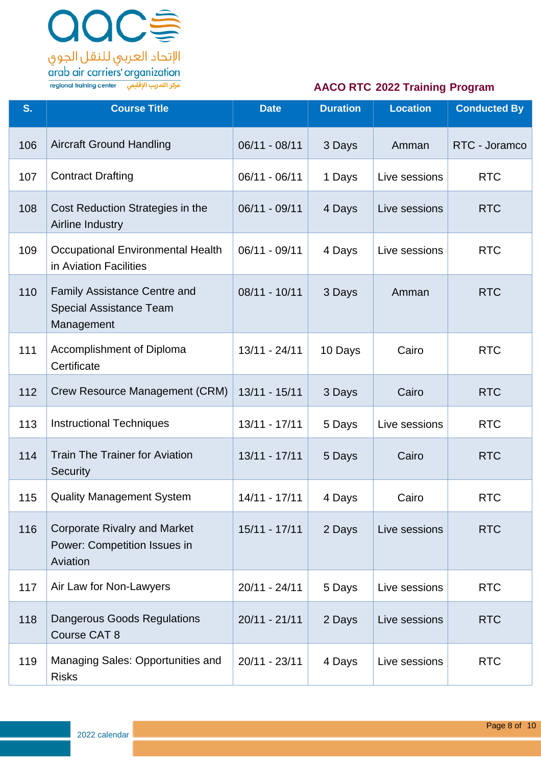

| S.  | <b>Course Title</b>                                                                 | <b>Date</b>     | <b>Duration</b> | <b>Location</b> | <b>Conducted By</b> |
|-----|-------------------------------------------------------------------------------------|-----------------|-----------------|-----------------|---------------------|
| 106 | <b>Aircraft Ground Handling</b>                                                     | $06/11 - 08/11$ | 3 Days          | Amman           | RTC - Joramco       |
| 107 | <b>Contract Drafting</b>                                                            | 06/11 - 06/11   | 1 Days          | Live sessions   | <b>RTC</b>          |
| 108 | Cost Reduction Strategies in the<br>Airline Industry                                | 06/11 - 09/11   | 4 Days          | Live sessions   | <b>RTC</b>          |
| 109 | <b>Occupational Environmental Health</b><br>in Aviation Facilities                  | 06/11 - 09/11   | 4 Days          | Live sessions   | <b>RTC</b>          |
| 110 | <b>Family Assistance Centre and</b><br><b>Special Assistance Team</b><br>Management | $08/11 - 10/11$ | 3 Days          | Amman           | <b>RTC</b>          |
| 111 | Accomplishment of Diploma<br>Certificate                                            | $13/11 - 24/11$ | 10 Days         | Cairo           | <b>RTC</b>          |
| 112 | Crew Resource Management (CRM)                                                      | 13/11 - 15/11   | 3 Days          | Cairo           | <b>RTC</b>          |
| 113 | <b>Instructional Techniques</b>                                                     | $13/11 - 17/11$ | 5 Days          | Live sessions   | <b>RTC</b>          |
| 114 | <b>Train The Trainer for Aviation</b><br>Security                                   | $13/11 - 17/11$ | 5 Days          | Cairo           | <b>RTC</b>          |
| 115 | <b>Quality Management System</b>                                                    | 14/11 - 17/11   | 4 Days          | Cairo           | <b>RTC</b>          |
| 116 | <b>Corporate Rivalry and Market</b><br>Power: Competition Issues in<br>Aviation     | $15/11 - 17/11$ | 2 Days          | Live sessions   | <b>RTC</b>          |
| 117 | Air Law for Non-Lawyers                                                             | $20/11 - 24/11$ | 5 Days          | Live sessions   | <b>RTC</b>          |
| 118 | <b>Dangerous Goods Regulations</b><br>Course CAT 8                                  | $20/11 - 21/11$ | 2 Days          | Live sessions   | <b>RTC</b>          |
| 119 | Managing Sales: Opportunities and<br><b>Risks</b>                                   | $20/11 - 23/11$ | 4 Days          | Live sessions   | <b>RTC</b>          |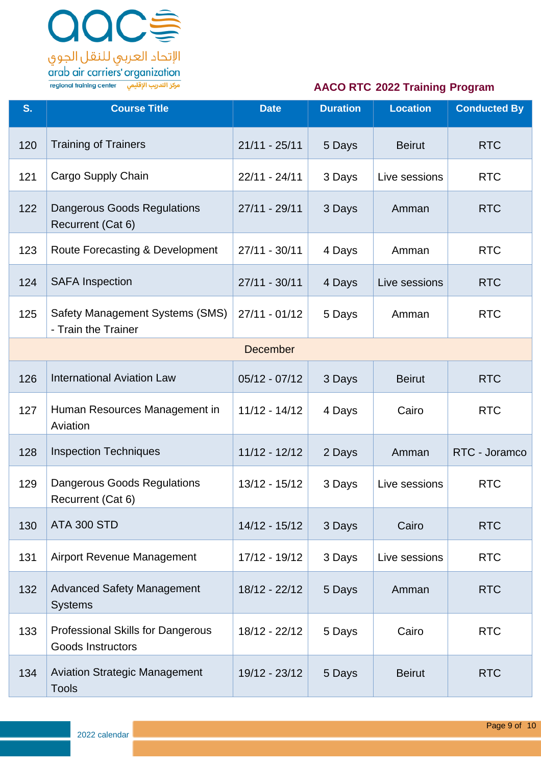

| S.  | <b>Course Title</b>                                                  | <b>Date</b>     | <b>Duration</b> | <b>Location</b> | <b>Conducted By</b> |
|-----|----------------------------------------------------------------------|-----------------|-----------------|-----------------|---------------------|
| 120 | <b>Training of Trainers</b>                                          | $21/11 - 25/11$ | 5 Days          | <b>Beirut</b>   | <b>RTC</b>          |
| 121 | Cargo Supply Chain                                                   | $22/11 - 24/11$ | 3 Days          | Live sessions   | <b>RTC</b>          |
| 122 | Dangerous Goods Regulations<br>Recurrent (Cat 6)                     | $27/11 - 29/11$ | 3 Days          | Amman           | <b>RTC</b>          |
| 123 | Route Forecasting & Development                                      | $27/11 - 30/11$ | 4 Days          | Amman           | <b>RTC</b>          |
| 124 | <b>SAFA Inspection</b>                                               | $27/11 - 30/11$ | 4 Days          | Live sessions   | <b>RTC</b>          |
| 125 | Safety Management Systems (SMS)<br>- Train the Trainer               | $27/11 - 01/12$ | 5 Days          | Amman           | <b>RTC</b>          |
|     |                                                                      | <b>December</b> |                 |                 |                     |
| 126 | <b>International Aviation Law</b>                                    | $05/12 - 07/12$ | 3 Days          | <b>Beirut</b>   | <b>RTC</b>          |
| 127 | Human Resources Management in<br>Aviation                            | $11/12 - 14/12$ | 4 Days          | Cairo           | <b>RTC</b>          |
| 128 | <b>Inspection Techniques</b>                                         | 11/12 - 12/12   | 2 Days          | Amman           | RTC - Joramco       |
| 129 | <b>Dangerous Goods Regulations</b><br>Recurrent (Cat 6)              | 13/12 - 15/12   | 3 Days          | Live sessions   | <b>RTC</b>          |
| 130 | <b>ATA 300 STD</b>                                                   | $14/12 - 15/12$ | 3 Days          | Cairo           | <b>RTC</b>          |
| 131 | <b>Airport Revenue Management</b>                                    | 17/12 - 19/12   | 3 Days          | Live sessions   | <b>RTC</b>          |
| 132 | <b>Advanced Safety Management</b><br><b>Systems</b>                  | 18/12 - 22/12   | 5 Days          | Amman           | <b>RTC</b>          |
| 133 | <b>Professional Skills for Dangerous</b><br><b>Goods Instructors</b> | 18/12 - 22/12   | 5 Days          | Cairo           | <b>RTC</b>          |
| 134 | <b>Aviation Strategic Management</b><br><b>Tools</b>                 | 19/12 - 23/12   | 5 Days          | <b>Beirut</b>   | <b>RTC</b>          |